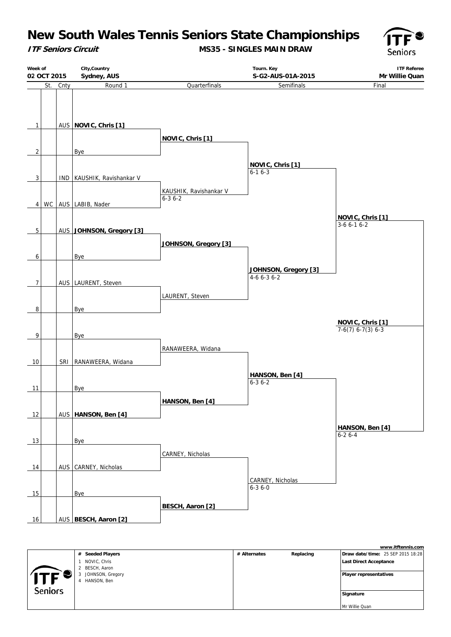**ITF Seniors Circuit**

**MS35 - SINGLES MAIN DRAW**



|                                | City, Country<br>Week of<br>Sydney, AUS<br>02 OCT 2015 |          |                              |                         | <b>ITF Referee</b><br>Tourn. Key<br>S-G2-AUS-01A-2015<br>Mr Willie Quan |                     |  |  |
|--------------------------------|--------------------------------------------------------|----------|------------------------------|-------------------------|-------------------------------------------------------------------------|---------------------|--|--|
|                                |                                                        | St. Cnty | Round 1                      | Quarterfinals           | Semifinals                                                              | Final               |  |  |
| $\mathbf{1}$<br>$\overline{2}$ |                                                        |          | AUS NOVIC, Chris [1]<br>Bye  | NOVIC, Chris [1]        |                                                                         |                     |  |  |
|                                |                                                        |          |                              |                         | NOVIC, Chris [1]                                                        |                     |  |  |
| 3                              |                                                        |          | IND   KAUSHIK, Ravishankar V |                         | $6 - 16 - 3$                                                            |                     |  |  |
|                                |                                                        |          |                              | KAUSHIK, Ravishankar V  |                                                                         |                     |  |  |
| 4                              | <b>WC</b>                                              |          | AUS LABIB, Nader             | $6 - 36 - 2$            |                                                                         |                     |  |  |
|                                |                                                        |          |                              |                         |                                                                         | NOVIC, Chris [1]    |  |  |
|                                |                                                        |          |                              |                         |                                                                         | $3-66-16-2$         |  |  |
| $5\overline{)}$                |                                                        |          | AUS JOHNSON, Gregory [3]     |                         |                                                                         |                     |  |  |
|                                |                                                        |          |                              | JOHNSON, Gregory [3]    |                                                                         |                     |  |  |
| 6                              |                                                        |          | <b>Bye</b>                   |                         |                                                                         |                     |  |  |
|                                |                                                        |          |                              |                         | JOHNSON, Gregory [3]                                                    |                     |  |  |
|                                |                                                        |          |                              |                         | $4-66-36-2$                                                             |                     |  |  |
| $\overline{7}$                 |                                                        |          | AUS LAURENT, Steven          |                         |                                                                         |                     |  |  |
|                                |                                                        |          |                              | LAURENT, Steven         |                                                                         |                     |  |  |
| 8                              |                                                        |          | Bye                          |                         |                                                                         |                     |  |  |
|                                |                                                        |          |                              |                         |                                                                         | NOVIC, Chris [1]    |  |  |
|                                |                                                        |          |                              |                         |                                                                         | $7-6(7)$ 6-7(3) 6-3 |  |  |
| 9                              |                                                        |          | <b>Bye</b>                   |                         |                                                                         |                     |  |  |
|                                |                                                        |          |                              | RANAWEERA, Widana       |                                                                         |                     |  |  |
| 10                             |                                                        |          | SRI RANAWEERA, Widana        |                         |                                                                         |                     |  |  |
|                                |                                                        |          |                              |                         | HANSON, Ben [4]                                                         |                     |  |  |
| 11                             |                                                        |          | Bye                          |                         | $6 - 36 - 2$                                                            |                     |  |  |
|                                |                                                        |          |                              |                         |                                                                         |                     |  |  |
|                                |                                                        |          |                              | HANSON, Ben [4]         |                                                                         |                     |  |  |
| 12                             |                                                        |          | AUS   HANSON, Ben [4]        |                         |                                                                         |                     |  |  |
|                                |                                                        |          |                              |                         |                                                                         | HANSON, Ben [4]     |  |  |
| 13                             |                                                        |          | <b>Bye</b>                   |                         |                                                                         | $6 - 26 - 4$        |  |  |
|                                |                                                        |          |                              |                         |                                                                         |                     |  |  |
|                                |                                                        |          |                              | CARNEY, Nicholas        |                                                                         |                     |  |  |
| 14                             |                                                        |          | AUS CARNEY, Nicholas         |                         |                                                                         |                     |  |  |
|                                |                                                        |          |                              |                         | CARNEY, Nicholas                                                        |                     |  |  |
| 15                             |                                                        |          | Bye                          |                         | $6 - 36 - 0$                                                            |                     |  |  |
|                                |                                                        |          |                              |                         |                                                                         |                     |  |  |
|                                |                                                        |          |                              | <b>BESCH, Aaron [2]</b> |                                                                         |                     |  |  |
| 16                             |                                                        |          | AUS BESCH, Aaron [2]         |                         |                                                                         |                     |  |  |

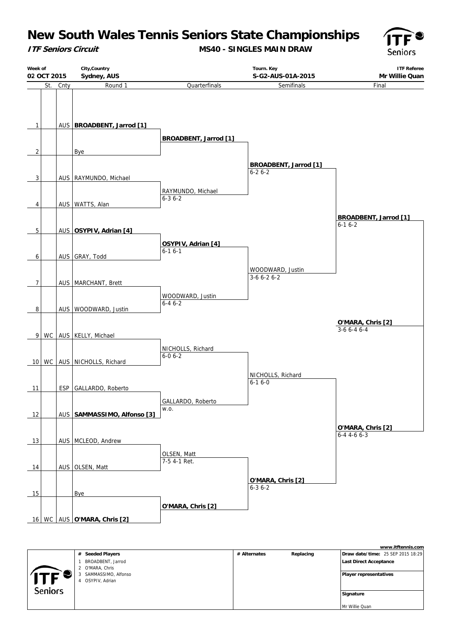**ITF Seniors Circuit**

**MS40 - SINGLES MAIN DRAW**



|                | Week of<br>02 OCT 2015 |          | City, Country<br>Sydney, AUS                  |                                   |                                              | <b>ITF Referee</b><br>Mr Willie Quan     |  |
|----------------|------------------------|----------|-----------------------------------------------|-----------------------------------|----------------------------------------------|------------------------------------------|--|
|                |                        | St. Cnty | Round 1                                       | Quarterfinals                     | Semifinals                                   | Final                                    |  |
| $\mathbf{1}$   |                        |          | AUS BROADBENT, Jarrod [1]                     |                                   |                                              |                                          |  |
|                |                        |          |                                               | <b>BROADBENT, Jarrod [1]</b>      |                                              |                                          |  |
| $\overline{2}$ |                        |          | Bye                                           |                                   |                                              |                                          |  |
| 3              |                        |          | AUS   RAYMUNDO, Michael                       |                                   | <b>BROADBENT, Jarrod [1]</b><br>$6 - 26 - 2$ |                                          |  |
|                |                        |          |                                               | RAYMUNDO, Michael                 |                                              |                                          |  |
| 4              |                        |          | AUS   WATTS, Alan                             | $6 - 36 - 2$                      |                                              |                                          |  |
|                |                        |          | AUS OSYPIV, Adrian [4]                        |                                   |                                              | <b>BROADBENT, Jarrod [1]</b><br>$6-16-2$ |  |
| 5              |                        |          |                                               |                                   |                                              |                                          |  |
| 6              |                        |          | AUS GRAY, Todd                                | OSYPIV, Adrian [4]<br>$6-16-1$    |                                              |                                          |  |
|                |                        |          |                                               |                                   | WOODWARD, Justin                             |                                          |  |
| 7              |                        |          | AUS   MARCHANT, Brett                         |                                   | $3-66-26-2$                                  |                                          |  |
|                |                        |          |                                               | WOODWARD, Justin                  |                                              |                                          |  |
|                |                        |          |                                               | $6 - 46 - 2$                      |                                              |                                          |  |
| 8              |                        |          | AUS   WOODWARD, Justin                        |                                   |                                              |                                          |  |
|                |                        |          |                                               |                                   |                                              | O'MARA, Chris [2]<br>$3-66-46-4$         |  |
| 9 <sup>1</sup> |                        |          | WC AUS   KELLY, Michael                       |                                   |                                              |                                          |  |
|                |                        |          |                                               | NICHOLLS, Richard<br>$6 - 06 - 2$ |                                              |                                          |  |
|                |                        |          | 10 WC AUS NICHOLLS, Richard                   |                                   |                                              |                                          |  |
| 11             |                        |          | ESP   GALLARDO, Roberto                       |                                   | NICHOLLS, Richard<br>$6 - 16 - 0$            |                                          |  |
|                |                        |          |                                               | GALLARDO, Roberto                 |                                              |                                          |  |
| 12             |                        |          | AUS   SAMMASSIMO, Alfonso [3]                 | W.O.                              |                                              |                                          |  |
|                |                        |          |                                               |                                   |                                              | O'MARA, Chris [2]                        |  |
| 13             |                        |          | AUS   MCLEOD, Andrew                          |                                   |                                              | $6 - 44 - 66 - 3$                        |  |
|                |                        |          |                                               | OLSEN, Matt                       |                                              |                                          |  |
| 14             |                        |          | AUS OLSEN, Matt                               | 7-5 4-1 Ret.                      |                                              |                                          |  |
|                |                        |          |                                               |                                   | O'MARA, Chris [2]                            |                                          |  |
| 15             |                        |          | Bye                                           |                                   | $6 - 36 - 2$                                 |                                          |  |
|                |                        |          |                                               | O'MARA, Chris [2]                 |                                              |                                          |  |
|                |                        |          | 16   WC   AUS $\overline{O'MARA}$ , Chris [2] |                                   |                                              |                                          |  |

**www.itftennis.com # Seeded Players # Alternates Replacing Draw date/time:** 25 SEP 2015 18:29 1 BROADBENT, Jarrod  **Last Direct Acceptance** 2 O'MARA, Chris 3 SAMMASSIMO, Alfonso  **Player representatives** 4 OSYPIV, Adrian Seniors  **Signature** Mr Willie Quan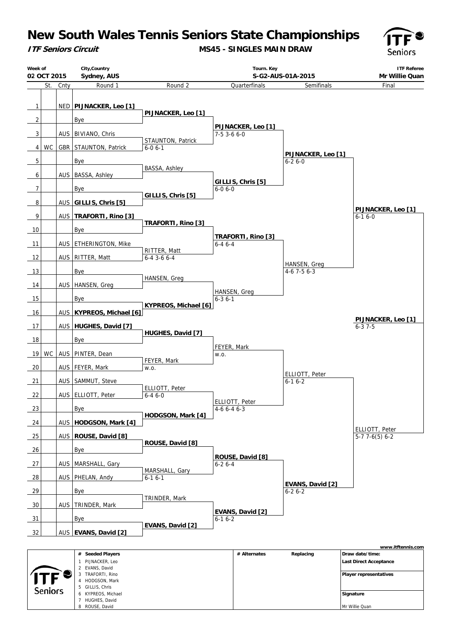**ITF Seniors Circuit**

**MS45 - SINGLES MAIN DRAW**



| City, Country<br>Week of<br>Tourn. Key<br>Sydney, AUS<br>S-G2-AUS-01A-2015<br>02 OCT 2015 |     |      | <b>ITF Referee</b><br>Mr Willie Quan |                                    |                     |                    |                                  |                                  |
|-------------------------------------------------------------------------------------------|-----|------|--------------------------------------|------------------------------------|---------------------|--------------------|----------------------------------|----------------------------------|
|                                                                                           | St. | Cnty | Round 1                              | Round 2                            |                     | Quarterfinals      | Semifinals                       | Final                            |
|                                                                                           |     |      |                                      |                                    |                     |                    |                                  |                                  |
| $\mathbf{1}$                                                                              |     |      | NED   PIJNACKER, Leo [1]             | PIJNACKER, Leo [1]                 |                     |                    |                                  |                                  |
| $\overline{2}$                                                                            |     |      | <b>Bye</b>                           |                                    |                     |                    |                                  |                                  |
| 3                                                                                         |     |      | AUS   BIVIANO, Chris                 |                                    | 7-5 3-6 6-0         | PIJNACKER, Leo [1] |                                  |                                  |
| 4                                                                                         | WC  |      | GBR STAUNTON, Patrick                | STAUNTON, Patrick<br>$6 - 0 6 - 1$ |                     |                    |                                  |                                  |
|                                                                                           |     |      |                                      |                                    |                     |                    | PIJNACKER, Leo [1]               |                                  |
| 5                                                                                         |     |      | Bye                                  | <b>BASSA, Ashley</b>               |                     |                    | $6 - 26 - 0$                     |                                  |
| 6                                                                                         |     |      | AUS   BASSA, Ashley                  |                                    |                     | GILLIS, Chris [5]  |                                  |                                  |
| $\overline{7}$                                                                            |     |      | <b>Bye</b>                           |                                    | $6 - 06 - 0$        |                    |                                  |                                  |
| 8                                                                                         |     |      | AUS GILLIS, Chris [5]                | GILLIS, Chris [5]                  |                     |                    |                                  |                                  |
| 9                                                                                         |     |      | AUS   TRAFORTI, Rino [3]             |                                    |                     |                    |                                  | PIJNACKER, Leo [1]<br>$6-16-0$   |
|                                                                                           |     |      |                                      | TRAFORTI, Rino [3]                 |                     |                    |                                  |                                  |
| 10                                                                                        |     |      | <b>Bye</b>                           |                                    |                     | TRAFORTI, Rino [3] |                                  |                                  |
| $-11$                                                                                     |     |      | AUS   ETHERINGTON, Mike              | RITTER, Matt                       | $6 - 46 - 4$        |                    |                                  |                                  |
| $-12$                                                                                     |     |      | AUS   RITTER, Matt                   | $6 - 4$ 3 - 6 $6 - 4$              |                     |                    |                                  |                                  |
| $\overline{\phantom{0}13}$                                                                |     |      | <b>Bye</b>                           |                                    |                     |                    | HANSEN, Greg<br>$4-6$ 7-5 6-3    |                                  |
| 14                                                                                        |     |      | AUS   HANSEN, Greg                   | HANSEN, Greg                       |                     |                    |                                  |                                  |
|                                                                                           |     |      |                                      |                                    |                     | HANSEN, Greg       |                                  |                                  |
| 15                                                                                        |     |      | <b>Bye</b>                           | KYPREOS, Michael [6]               | $6 - 36 - 1$        |                    |                                  |                                  |
| 16                                                                                        |     |      | AUS KYPREOS, Michael [6]             |                                    |                     |                    |                                  | PIJNACKER, Leo [1]               |
| 17                                                                                        |     |      | AUS   HUGHES, David [7]              |                                    |                     |                    |                                  | $6 - 37 - 5$                     |
| 18                                                                                        |     |      | Bye                                  | HUGHES, David [7]                  |                     |                    |                                  |                                  |
| 19                                                                                        | WC  |      | AUS   PINTER, Dean                   |                                    | FEYER, Mark<br>W.O. |                    |                                  |                                  |
|                                                                                           |     |      |                                      | FEYER, Mark                        |                     |                    |                                  |                                  |
| 20                                                                                        |     |      | AUS   FEYER, Mark                    | W.O.                               |                     |                    | ELLIOTT, Peter                   |                                  |
| 21                                                                                        |     |      | AUS   SAMMUT, Steve                  | ELLIOTT, Peter                     |                     |                    | $6-16-2$                         |                                  |
| 22                                                                                        |     |      | AUS ELLIOTT, Peter                   | $6 - 46 - 0$                       |                     | ELLIOTT, Peter     |                                  |                                  |
| 23                                                                                        |     |      | <b>Bye</b>                           |                                    | $4-66-46-3$         |                    |                                  |                                  |
| 24                                                                                        |     |      | AUS   HODGSON, Mark [4]              | HODGSON, Mark [4]                  |                     |                    |                                  |                                  |
| 25                                                                                        |     |      | AUS   ROUSE, David [8]               |                                    |                     |                    |                                  | ELLIOTT, Peter<br>$5-77-6(5)6-2$ |
|                                                                                           |     |      |                                      | ROUSE, David [8]                   |                     |                    |                                  |                                  |
| 26                                                                                        |     |      | Bye                                  |                                    |                     | ROUSE, David [8]   |                                  |                                  |
| 27                                                                                        |     |      | AUS   MARSHALL, Gary                 | MARSHALL, Gary                     | $6 - 26 - 4$        |                    |                                  |                                  |
| 28                                                                                        |     |      | AUS   PHELAN, Andy                   | $6 - 16 - 1$                       |                     |                    |                                  |                                  |
| 29                                                                                        |     |      | <b>Bye</b>                           |                                    |                     |                    | EVANS, David [2]<br>$6 - 26 - 2$ |                                  |
| $-30$                                                                                     |     |      | AUS   TRINDER, Mark                  | TRINDER, Mark                      |                     |                    |                                  |                                  |
|                                                                                           |     |      |                                      |                                    |                     | EVANS, David [2]   |                                  |                                  |
| $\frac{31}{2}$                                                                            |     |      | <b>Bye</b>                           | EVANS, David [2]                   | $6 - 16 - 2$        |                    |                                  |                                  |
| 32                                                                                        |     |      | AUS   EVANS, David [2]               |                                    |                     |                    |                                  |                                  |
|                                                                                           |     |      |                                      |                                    |                     |                    |                                  | www.itftennis.com                |
|                                                                                           |     |      | # Seeded Players                     |                                    |                     | # Alternates       | Replacing                        | Draw date/time:                  |

|                | # Seeded Players   | # Alternates | Replacing | Draw date/time:               |
|----------------|--------------------|--------------|-----------|-------------------------------|
|                | PIJNACKER, Leo     |              |           | <b>Last Direct Acceptance</b> |
|                | 2 EVANS, David     |              |           |                               |
|                | TRAFORTI, Rino     |              |           | <b>Player representatives</b> |
|                | HODGSON, Mark      |              |           |                               |
|                | 5 GILLIS, Chris    |              |           |                               |
| <b>Seniors</b> | 6 KYPREOS, Michael |              |           | Signature                     |
|                | HUGHES, David      |              |           |                               |
|                | ROUSE, David       |              |           | Mr Willie Quan                |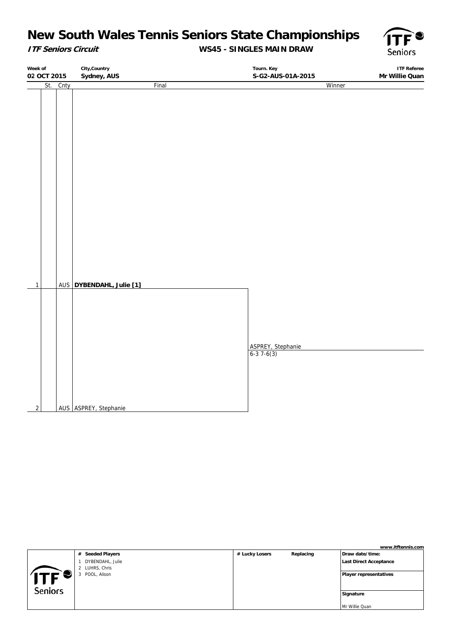### **ITF Seniors Circuit**

### **WS45 - SINGLES MAIN DRAW**



**Week of 02 OCT 2015 City,Country Sydney, AUS Tourn. Key S-G2-AUS-01A-2015 ITF Referee Mr Willie Quan** St. Cnty Final 1 AUS **DYBENDAHL, Julie [1]** AUS ASPREY, Stephanie Winner ASPREY, Stephanie  $6-37-6(3)$ 

|                |                   |                |           | www.itftennis.com             |
|----------------|-------------------|----------------|-----------|-------------------------------|
|                | # Seeded Players  | # Lucky Losers | Replacing | Draw date/time:               |
|                | DYBENDAHL, Julie  |                |           | Last Direct Acceptance        |
|                | LUHRS, Chris      |                |           |                               |
| TE Sµ          | POOL, Alison<br>3 |                |           | <b>Player representatives</b> |
|                |                   |                |           |                               |
| <b>Seniors</b> |                   |                |           |                               |
|                |                   |                |           | Signature                     |
|                |                   |                |           |                               |
|                |                   |                |           | Mr Willie Quan                |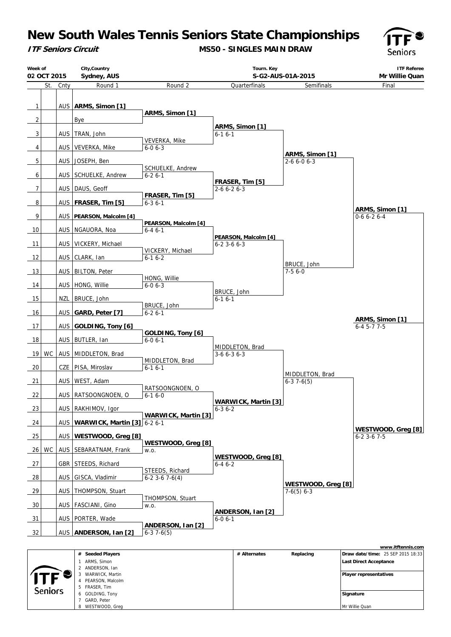**ITF Seniors Circuit**

**MS50 - SINGLES MAIN DRAW**



| Week of        | 02 OCT 2015 |      | City, Country<br>Sydney, AUS      |                                   | Tourn. Key<br>S-G2-AUS-01A-2015               |                                    | <b>ITF Referee</b><br>Mr Willie Quan |
|----------------|-------------|------|-----------------------------------|-----------------------------------|-----------------------------------------------|------------------------------------|--------------------------------------|
|                | St.         | Cnty | Round 1                           | Round 2                           | Quarterfinals                                 | Semifinals                         | Final                                |
|                |             |      |                                   |                                   |                                               |                                    |                                      |
| $\overline{1}$ |             |      | AUS   ARMS, Simon [1]             | ARMS, Simon [1]                   |                                               |                                    |                                      |
| $\overline{2}$ |             |      | <b>Bye</b>                        |                                   |                                               |                                    |                                      |
| 3              |             |      | AUS   TRAN, John                  |                                   | ARMS, Simon [1]<br>$6 - 16 - 1$               |                                    |                                      |
|                |             |      |                                   | VEVERKA, Mike                     |                                               |                                    |                                      |
| 4              |             |      | AUS   VEVERKA, Mike               | $6 - 06 - 3$                      |                                               | ARMS, Simon [1]                    |                                      |
| 5              |             |      | AUS JOSEPH, Ben                   | SCHUELKE, Andrew                  |                                               | $2 - 66 - 06 - 3$                  |                                      |
| 6              |             |      | AUS   SCHUELKE, Andrew            | $6 - 26 - 1$                      |                                               |                                    |                                      |
| $\overline{7}$ |             |      | AUS   DAUS, Geoff                 |                                   | FRASER, Tim [5]<br>$2 - 6 6 - 2 6 - 3$        |                                    |                                      |
|                |             |      |                                   | FRASER, Tim [5]                   |                                               |                                    |                                      |
| 8              |             |      | AUS   FRASER, Tim [5]             | $6 - 36 - 1$                      |                                               |                                    | ARMS, Simon [1]                      |
| 9              |             |      | AUS PEARSON, Malcolm [4]          | PEARSON, Malcolm [4]              |                                               |                                    | $0-66-26-4$                          |
| 10             |             |      | AUS   NGAUORA, Noa                | $6 - 46 - 1$                      |                                               |                                    |                                      |
| 11             |             |      | AUS   VICKERY, Michael            |                                   | PEARSON, Malcolm [4]<br>$6 - 2$ 3 - 6 $6 - 3$ |                                    |                                      |
|                |             |      |                                   | VICKERY, Michael                  |                                               |                                    |                                      |
| 12             |             |      | AUS   CLARK, Ian                  | $6 - 16 - 2$                      |                                               | BRUCE, John                        |                                      |
| 13             |             |      | AUS   BILTON, Peter               |                                   |                                               | $7-56-0$                           |                                      |
| 14             |             |      | AUS   HONG, Willie                | HONG, Willie<br>$6 - 06 - 3$      |                                               |                                    |                                      |
| 15             |             |      | NZL   BRUCE, John                 |                                   | BRUCE, John                                   |                                    |                                      |
|                |             |      |                                   | BRUCE, John                       | $6 - 16 - 1$                                  |                                    |                                      |
| 16             |             |      | AUS GARD, Peter [7]               | $6 - 26 - 1$                      |                                               |                                    | ARMS, Simon [1]                      |
| 17             |             |      | AUS   GOLDING, Tony [6]           |                                   |                                               |                                    | $6 - 45 - 77 - 5$                    |
| 18             |             |      | AUS   BUTLER, Ian                 | GOLDING, Tony [6]<br>$6 - 06 - 1$ |                                               |                                    |                                      |
|                | WC          |      | AUS   MIDDLETON, Brad             |                                   | MIDDLETON, Brad                               |                                    |                                      |
| 19             |             |      |                                   | MIDDLETON, Brad                   | $3-66-36-3$                                   |                                    |                                      |
| $\frac{20}{2}$ |             |      | CZE   PISA, Miroslav              | $6 - 16 - 1$                      |                                               | MIDDLETON, Brad                    |                                      |
| 21             |             |      | AUS   WEST, Adam                  |                                   |                                               | $6-37-6(5)$                        |                                      |
| 22             |             |      | AUS   RATSOONGNOEN, O             | RATSOONGNOEN, O<br>$6 - 16 - 0$   |                                               |                                    |                                      |
|                |             |      |                                   |                                   | <b>WARWICK, Martin [3]</b>                    |                                    |                                      |
| 23             |             |      | AUS   RAKHIMOV, Igor              | <b>WARWICK, Martin [3]</b>        | $6 - 36 - 2$                                  |                                    |                                      |
| 24             |             |      | AUS   WARWICK, Martin [3] 6-2 6-1 |                                   |                                               |                                    | WESTWOOD, Greg [8]                   |
| 25             |             |      | AUS   WESTWOOD, Greg [8]          |                                   |                                               |                                    | $6 - 2$ 3 - 6 7 - 5                  |
| 26             | <b>WC</b>   |      | AUS   SEBARATNAM, Frank           | WESTWOOD, Greg [8]<br>W.O.        |                                               |                                    |                                      |
|                |             |      |                                   |                                   | WESTWOOD, Greg [8]                            |                                    |                                      |
| 27             |             |      | GBR   STEEDS, Richard             | STEEDS, Richard                   | $6 - 46 - 2$                                  |                                    |                                      |
| 28             |             |      | AUS GISCA, Vladimir               | $6-2$ 3 $-6$ 7 $-6(4)$            |                                               |                                    |                                      |
| 29             |             |      | AUS   THOMPSON, Stuart            |                                   |                                               | WESTWOOD, Greg [8]<br>$7-6(5)$ 6-3 |                                      |
| 30             |             |      | AUS   FASCIANI, Gino              | THOMPSON, Stuart<br>W.O.          |                                               |                                    |                                      |
|                |             |      |                                   |                                   | ANDERSON, Ian [2]                             |                                    |                                      |
| 31             |             |      | AUS   PORTER, Wade                | ANDERSON, Ian [2]                 | $6 - 0 6 - 1$                                 |                                    |                                      |
| 32             |             |      | AUS   ANDERSON, Ian [2]           | $6-37-6(5)$                       |                                               |                                    |                                      |
|                |             |      |                                   |                                   |                                               |                                    | www.itftennis.com                    |

|                |   | # Seeded Players | # Alternates | Replacing | <b>Draw date/time: 25 SEP 2015 18:33</b> |
|----------------|---|------------------|--------------|-----------|------------------------------------------|
|                |   | ARMS, Simon      |              |           | <b>Last Direct Acceptance</b>            |
|                |   | ANDERSON, Ian    |              |           |                                          |
|                |   | WARWICK, Martin  |              |           | Player representatives                   |
|                | 4 | PEARSON, Malcolm |              |           |                                          |
| <b>Seniors</b> |   | 5 FRASER, Tim    |              |           |                                          |
|                | 6 | GOLDING, Tony    |              |           | Signature                                |
|                |   | GARD, Peter      |              |           |                                          |
|                | 8 | WESTWOOD, Greg   |              |           | Mr Willie Quan                           |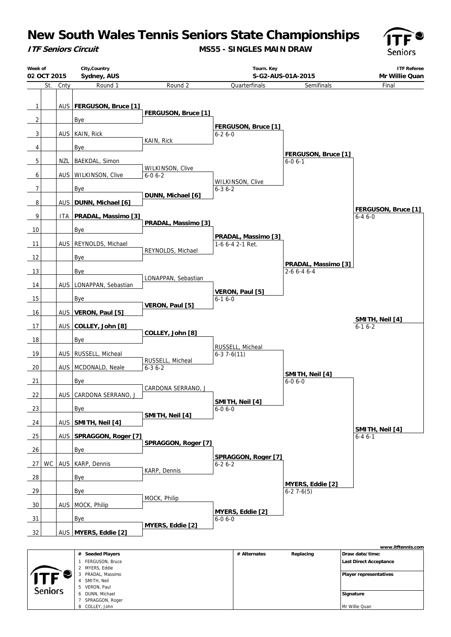**ITF Seniors Circuit**

4 SMITH, Neil 5 VERON, Paul 6 DUNN, Michael 7 SPRAGGON, Roger 8 COLLEY, John

Seniors

**MS55 - SINGLES MAIN DRAW**



 **Signature** Mr Willie Quan

| Week of<br>02 OCT 2015 |     |      | City, Country<br>Sydney, AUS                            |                                  |              | Tourn. Key              | S-G2-AUS-01A-2015               | <b>ITF Referee</b><br>Mr Willie Quan                                  |
|------------------------|-----|------|---------------------------------------------------------|----------------------------------|--------------|-------------------------|---------------------------------|-----------------------------------------------------------------------|
|                        | St. | Cnty | Round 1                                                 | Round 2                          |              | Quarterfinals           | Semifinals                      | Final                                                                 |
|                        |     |      |                                                         |                                  |              |                         |                                 |                                                                       |
| $\mathbf{1}$           |     |      | AUS   FERGUSON, Bruce [1]                               | FERGUSON, Bruce [1]              |              |                         |                                 |                                                                       |
| $\overline{2}$         |     |      | <b>Bye</b>                                              |                                  |              |                         |                                 |                                                                       |
| 3                      |     |      | AUS   KAIN, Rick                                        |                                  | $6 - 26 - 0$ | FERGUSON, Bruce [1]     |                                 |                                                                       |
| 4                      |     |      | <b>Bye</b>                                              | KAIN, Rick                       |              |                         |                                 |                                                                       |
|                        |     |      |                                                         |                                  |              |                         | FERGUSON, Bruce [1]             |                                                                       |
| 5                      |     | NZL  | BAEKDAL, Simon                                          | WILKINSON, Clive                 |              |                         | $6 - 06 - 1$                    |                                                                       |
| 6                      |     |      | AUS   WILKINSON, Clive                                  | $6 - 06 - 2$                     |              | WILKINSON, Clive        |                                 |                                                                       |
| $\overline{7}$         |     |      | <b>Bye</b>                                              |                                  | $6 - 36 - 2$ |                         |                                 |                                                                       |
| 8                      |     |      | AUS   DUNN, Michael [6]                                 | DUNN, Michael [6]                |              |                         |                                 |                                                                       |
| 9                      |     | ITA. | <b>PRADAL, Massimo [3]</b>                              |                                  |              |                         |                                 | FERGUSON, Bruce [1]<br>$6 - 46 - 0$                                   |
|                        |     |      |                                                         | PRADAL, Massimo [3]              |              |                         |                                 |                                                                       |
| $\frac{10}{1}$         |     |      | Bye                                                     |                                  |              | PRADAL, Massimo [3]     |                                 |                                                                       |
| 11                     |     |      | AUS   REYNOLDS, Michael                                 | REYNOLDS, Michael                |              | 1-6 6-4 2-1 Ret.        |                                 |                                                                       |
| 12                     |     |      | Bye                                                     |                                  |              |                         | PRADAL, Massimo [3]             |                                                                       |
| 13                     |     |      | Bye                                                     |                                  |              |                         | $2 - 66 - 46 - 4$               |                                                                       |
| 14                     |     |      | AUS   LONAPPAN, Sebastian                               | LONAPPAN, Sebastian              |              |                         |                                 |                                                                       |
| 15                     |     |      | <b>Bye</b>                                              |                                  | $6-16-0$     | VERON, Paul [5]         |                                 |                                                                       |
|                        |     |      |                                                         | VERON, Paul [5]                  |              |                         |                                 |                                                                       |
| 16                     |     |      | AUS   VERON, Paul [5]                                   |                                  |              |                         |                                 | SMITH, Neil [4]                                                       |
| $-17$                  |     |      | AUS COLLEY, John [8]                                    | COLLEY, John [8]                 |              |                         |                                 | $6-16-2$                                                              |
| 18                     |     |      | Bye                                                     |                                  |              |                         |                                 |                                                                       |
| 19                     |     |      | AUS   RUSSELL, Micheal                                  |                                  | $6-37-6(11)$ | RUSSELL, Micheal        |                                 |                                                                       |
| 20                     |     |      | AUS   MCDONALD, Neale                                   | RUSSELL, Micheal<br>$6 - 36 - 2$ |              |                         |                                 |                                                                       |
|                        |     |      |                                                         |                                  |              |                         | SMITH, Neil [4]                 |                                                                       |
| 21                     |     |      | <b>Bye</b>                                              | CARDONA SERRANO, J               |              |                         | $6 - 06 - 0$                    |                                                                       |
| 22                     |     |      | AUS CARDONA SERRANO, J                                  |                                  |              | SMITH, Neil [4]         |                                 |                                                                       |
| 23                     |     |      | Bye                                                     |                                  | $6 - 06 - 0$ |                         |                                 |                                                                       |
| 24                     |     |      | AUS   SMITH, Neil [4]                                   | SMITH, Neil [4]                  |              |                         |                                 |                                                                       |
| 25                     |     |      | AUS   SPRAGGON, Roger [7]                               |                                  |              |                         |                                 | SMITH, Neil [4]<br>$6 - 46 - 1$                                       |
|                        |     |      |                                                         | SPRAGGON, Roger [7]              |              |                         |                                 |                                                                       |
| 26                     |     |      | Bye                                                     |                                  |              | SPRAGGON, Roger [7]     |                                 |                                                                       |
| 27                     | WC  |      | AUS   KARP, Dennis                                      | KARP, Dennis                     | $6 - 26 - 2$ |                         |                                 |                                                                       |
| 28                     |     |      | <b>Bye</b>                                              |                                  |              |                         |                                 |                                                                       |
| 29                     |     |      | Bye                                                     |                                  |              |                         | MYERS, Eddie [2]<br>$6-27-6(5)$ |                                                                       |
| 30                     |     |      | AUS   MOCK, Philip                                      | MOCK, Philip                     |              |                         |                                 |                                                                       |
|                        |     |      |                                                         |                                  |              | <b>MYERS, Eddie [2]</b> |                                 |                                                                       |
| 31                     |     |      | <b>Bye</b>                                              | MYERS, Eddie [2]                 | $6 - 06 - 0$ |                         |                                 |                                                                       |
| 32                     |     |      | AUS   MYERS, Eddie [2]                                  |                                  |              |                         |                                 |                                                                       |
|                        |     |      | # Seeded Players<br>1 FERGUSON, Bruce<br>2 MYERS, Eddie |                                  |              | # Alternates            | Replacing                       | www.itftennis.com<br>Draw date/time:<br><b>Last Direct Acceptance</b> |
|                        |     |      | 3 PRADAL, Massimo<br>4 SMITH, Neil                      |                                  |              |                         |                                 | <b>Player representatives</b>                                         |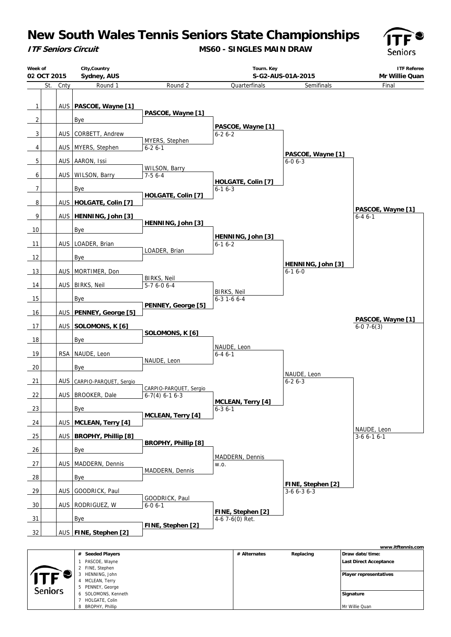**ITF Seniors Circuit**

**MS60 - SINGLES MAIN DRAW**



| Week of<br>02 OCT 2015 |      | City, Country<br>Sydney, AUS |                                            |                     | Tourn. Key<br>S-G2-AUS-01A-2015 |                                   | <b>ITF Referee</b><br>Mr Willie Quan |
|------------------------|------|------------------------------|--------------------------------------------|---------------------|---------------------------------|-----------------------------------|--------------------------------------|
| St.                    | Cnty | Round 1                      | Round 2                                    |                     | Quarterfinals                   | Semifinals                        | Final                                |
|                        |      |                              |                                            |                     |                                 |                                   |                                      |
| $\mathbf{1}$           |      | AUS   PASCOE, Wayne [1]      | PASCOE, Wayne [1]                          |                     |                                 |                                   |                                      |
| $\overline{2}$         |      | Bye                          |                                            |                     |                                 |                                   |                                      |
| 3                      |      | AUS   CORBETT, Andrew        |                                            | $6 - 26 - 2$        | PASCOE, Wayne [1]               |                                   |                                      |
|                        |      |                              | MYERS, Stephen                             |                     |                                 |                                   |                                      |
| 4                      |      | AUS   MYERS, Stephen         | $6 - 26 - 1$                               |                     |                                 | PASCOE, Wayne [1]                 |                                      |
| 5                      |      | AUS   AARON, Issi            | WILSON, Barry                              |                     |                                 | $6 - 0 6 - 3$                     |                                      |
| 6                      |      | AUS   WILSON, Barry          | $7-56-4$                                   |                     |                                 |                                   |                                      |
| $\overline{7}$         |      | <b>Bye</b>                   |                                            | $6 - 16 - 3$        | HOLGATE, Colin [7]              |                                   |                                      |
| 8                      |      | AUS   HOLGATE, Colin [7]     | HOLGATE, Colin [7]                         |                     |                                 |                                   |                                      |
|                        |      |                              |                                            |                     |                                 |                                   | PASCOE, Wayne [1]                    |
| 9                      |      | AUS   HENNING, John [3]      | HENNING, John [3]                          |                     |                                 |                                   | $6 - 46 - 1$                         |
| 10                     |      | Bye                          |                                            |                     | HENNING, John [3]               |                                   |                                      |
| 11                     |      | AUS   LOADER, Brian          |                                            | $6-16-2$            |                                 |                                   |                                      |
| 12                     |      | Bye                          | LOADER, Brian                              |                     |                                 |                                   |                                      |
| 13                     |      | AUS   MORTIMER, Don          |                                            |                     |                                 | HENNING, John [3]<br>$6 - 16 - 0$ |                                      |
|                        |      |                              | <b>BIRKS, Neil</b>                         |                     |                                 |                                   |                                      |
| 14                     |      | AUS   BIRKS, Neil            | $5-76-06-4$                                | <b>BIRKS, Neil</b>  |                                 |                                   |                                      |
| 15                     |      | Bye                          | PENNEY, George [5]                         | $6 - 3 1 - 6 6 - 4$ |                                 |                                   |                                      |
| 16                     |      | AUS   PENNEY, George [5]     |                                            |                     |                                 |                                   |                                      |
| 17                     |      | AUS SOLOMONS, K [6]          |                                            |                     |                                 |                                   | PASCOE, Wayne [1]<br>$6-07-6(3)$     |
| 18                     |      | Bye                          | SOLOMONS, K [6]                            |                     |                                 |                                   |                                      |
|                        |      |                              |                                            |                     | NAUDE, Leon                     |                                   |                                      |
| 19                     |      | RSA   NAUDE, Leon            | NAUDE, Leon                                | $6 - 46 - 1$        |                                 |                                   |                                      |
| 20                     |      | Bye                          |                                            |                     |                                 | NAUDE, Leon                       |                                      |
| 21                     |      | AUS CARPIO-PARQUET, Sergio   |                                            |                     |                                 | $6 - 26 - 3$                      |                                      |
| 22                     |      | AUS   BROOKER, Dale          | CARPIO-PARQUET, Sergio<br>$6-7(4)$ 6-1 6-3 |                     |                                 |                                   |                                      |
| 23                     |      | <b>Bye</b>                   |                                            | $6 - 3 6 - 1$       | MCLEAN, Terry [4]               |                                   |                                      |
|                        |      |                              | MCLEAN, Terry [4]                          |                     |                                 |                                   |                                      |
| $-24$                  |      | AUS   MCLEAN, Terry [4]      |                                            |                     |                                 |                                   | NAUDE, Leon                          |
| 25                     | AUS  | <b>BROPHY, Phillip [8]</b>   | <b>BROPHY, Phillip [8]</b>                 |                     |                                 |                                   | $3-66-16-1$                          |
| 26                     |      | Bye                          |                                            |                     |                                 |                                   |                                      |
| 27                     |      | AUS   MADDERN, Dennis        |                                            | W.O.                | MADDERN, Dennis                 |                                   |                                      |
| 28                     |      | Bye                          | MADDERN, Dennis                            |                     |                                 |                                   |                                      |
|                        |      |                              |                                            |                     |                                 | FINE, Stephen [2]                 |                                      |
| 29                     |      | AUS GOODRICK, Paul           | GOODRICK, Paul                             |                     |                                 | $3-66-36-3$                       |                                      |
| 30                     |      | AUS   RODRIGUEZ, W           | $6 - 06 - 1$                               |                     | FINE, Stephen [2]               |                                   |                                      |
| 31                     |      | Bye                          |                                            |                     | 4-6 7-6(0) Ret.                 |                                   |                                      |
| 32                     |      | AUS   FINE, Stephen [2]      | FINE, Stephen [2]                          |                     |                                 |                                   |                                      |
|                        |      |                              |                                            |                     |                                 |                                   | www.itftennis.com                    |
|                        |      | # Seeded Players             |                                            |                     | # Alternates                    | Replacing                         | Draw date/time:                      |
|                        |      | DASCOF Moun                  |                                            |                     |                                 |                                   | $+$ Direct Accord                    |

|                | # Seeded Players    | # Alternates<br>Replacing | ∣Draw date∕time:       |
|----------------|---------------------|---------------------------|------------------------|
|                | PASCOE, Wayne       |                           | Last Direct Acceptance |
|                | 2 FINE, Stephen     |                           |                        |
|                | HENNING, John       |                           | Player representatives |
|                | MCLEAN, Terry       |                           |                        |
|                | 5 PENNEY, George    |                           |                        |
| <b>Seniors</b> | 6 SOLOMONS, Kenneth |                           | Signature              |
|                | HOLGATE, Colin      |                           |                        |
|                | BROPHY, Phillip     |                           | Mr Willie Quan         |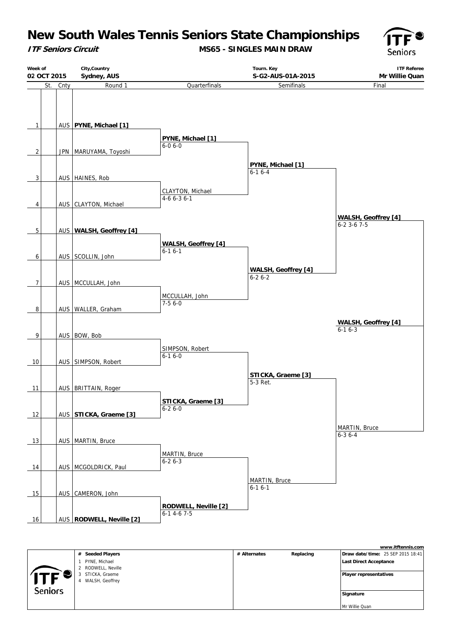**ITF Seniors Circuit**

**MS65 - SINGLES MAIN DRAW**





|                |                            |              |           | www.itftennis.com                        |
|----------------|----------------------------|--------------|-----------|------------------------------------------|
|                | <b>Seeded Players</b><br># | # Alternates | Replacing | <b>Draw date/time: 25 SEP 2015 18:41</b> |
|                | PYNE, Michael              |              |           | <b>Last Direct Acceptance</b>            |
|                | RODWELL, Neville           |              |           |                                          |
|                | STICKA, Graeme             |              |           | Player representatives                   |
| ITF            | WALSH, Geoffrey            |              |           |                                          |
| <b>Seniors</b> |                            |              |           |                                          |
|                |                            |              |           | Signature                                |
|                |                            |              |           |                                          |
|                |                            |              |           | Mr Willie Quan                           |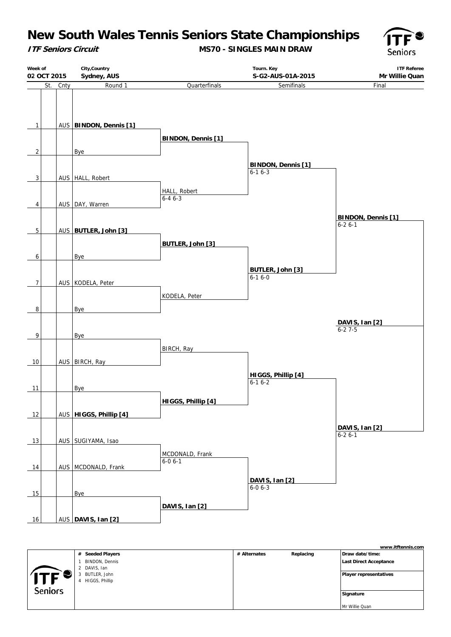**ITF Seniors Circuit**

**MS70 - SINGLES MAIN DRAW**



| City, Country<br>Week of<br>02 OCT 2015 |          | Sydney, AUS              |                                 | Tourn. Key<br>S-G2-AUS-01A-2015           | <b>ITF Referee</b><br>Mr Willie Quan      |  |
|-----------------------------------------|----------|--------------------------|---------------------------------|-------------------------------------------|-------------------------------------------|--|
|                                         | St. Cnty | Round 1                  | Quarterfinals                   | Semifinals                                | Final                                     |  |
| $\mathbf{1}$                            |          | AUS BINDON, Dennis [1]   | <b>BINDON, Dennis [1]</b>       |                                           |                                           |  |
| $\overline{2}$                          |          | <u>Bye</u>               |                                 |                                           |                                           |  |
| 3                                       |          | AUS   HALL, Robert       |                                 | <b>BINDON, Dennis [1]</b><br>$6 - 16 - 3$ |                                           |  |
| 4                                       |          | AUS   DAY, Warren        | HALL, Robert<br>$6 - 46 - 3$    |                                           |                                           |  |
|                                         |          |                          |                                 |                                           | <b>BINDON, Dennis [1]</b><br>$6 - 26 - 1$ |  |
| $\sqrt{5}$                              |          | AUS BUTLER, John [3]     |                                 |                                           |                                           |  |
| 6                                       |          | Bye                      | <b>BUTLER, John [3]</b>         |                                           |                                           |  |
| $\overline{7}$                          |          | AUS   KODELA, Peter      |                                 | BUTLER, John [3]<br>$6 - 16 - 0$          |                                           |  |
| 8                                       |          | Bye                      | KODELA, Peter                   |                                           |                                           |  |
|                                         |          |                          |                                 |                                           | DAVIS, Ian [2]<br>$6 - 27 - 5$            |  |
| 9                                       |          | <b>Bye</b>               |                                 |                                           |                                           |  |
|                                         |          |                          | BIRCH, Ray                      |                                           |                                           |  |
| 10                                      |          | AUS BIRCH, Ray           |                                 |                                           |                                           |  |
| 11                                      |          | Bye                      |                                 | HIGGS, Phillip [4]<br>$6 - 16 - 2$        |                                           |  |
|                                         |          |                          | HIGGS, Phillip [4]              |                                           |                                           |  |
| 12                                      |          | AUS   HIGGS, Phillip [4] |                                 |                                           |                                           |  |
| 13                                      |          | AUS SUGIYAMA, Isao       |                                 |                                           | DAVIS, Ian [2]<br>$6-26-1$                |  |
| 14                                      |          | AUS MCDONALD, Frank      | MCDONALD, Frank<br>$6 - 06 - 1$ |                                           |                                           |  |
|                                         |          |                          |                                 | DAVIS, Ian [2]                            |                                           |  |
| 15                                      |          | Bye                      |                                 | $6 - 0 6 - 3$                             |                                           |  |
|                                         |          |                          | DAVIS, Ian [2]                  |                                           |                                           |  |
| 16                                      |          | AUS DAVIS, Ian [2]       |                                 |                                           |                                           |  |

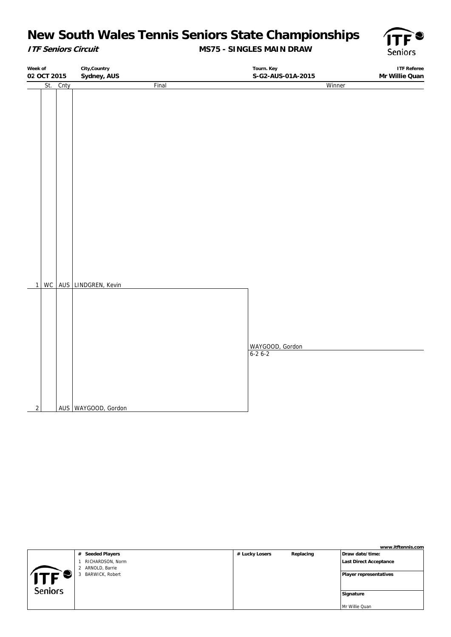### **ITF Seniors Circuit**

### **MS75 - SINGLES MAIN DRAW**



**Week of 02 OCT 2015 City,Country Sydney, AUS Tourn. Key S-G2-AUS-01A-2015 ITF Referee Mr Willie Quan** St. Cnty Final 1 WC AUS LINDGREN, Kevin 2 AUS WAYGOOD, Gordon Winner WAYGOOD, Gordon 6-2 6-2

|                |                             |                |           | www.itftennis.com      |
|----------------|-----------------------------|----------------|-----------|------------------------|
|                | # Seeded Players            | # Lucky Losers | Replacing | Draw date/time:        |
|                | RICHARDSON, Norm            |                |           | Last Direct Acceptance |
|                | ARNOLD, Barrie<br>2         |                |           |                        |
|                | <b>BARWICK, Robert</b><br>3 |                |           | Player representatives |
|                |                             |                |           |                        |
| <b>Seniors</b> |                             |                |           |                        |
|                |                             |                |           | Signature              |
|                |                             |                |           |                        |
|                |                             |                |           | Mr Willie Quan         |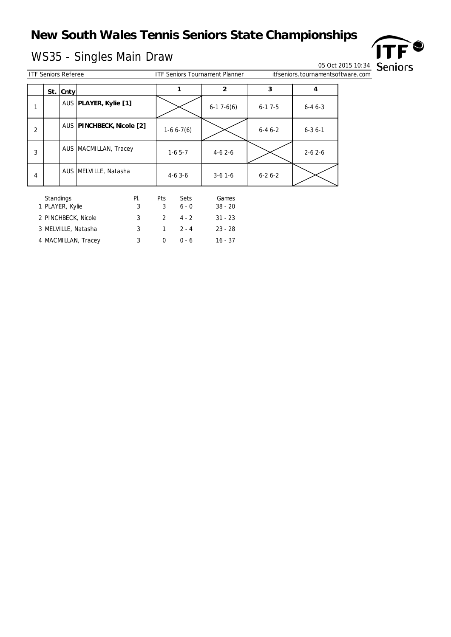# WS35 - Singles Main Draw<br>
WS35 - Singles Main Draw 05 Oct 2015 10:34 Seniors



|   | 05 Oct 2015 10:34          |           |                           |                                       |                |                                   |              |  |  |
|---|----------------------------|-----------|---------------------------|---------------------------------------|----------------|-----------------------------------|--------------|--|--|
|   | <b>ITF Seniors Referee</b> |           |                           | <b>ITF Seniors Tournament Planner</b> |                | itfseniors.tournamentsoftware.com |              |  |  |
|   |                            | St. Cntyl |                           |                                       | $\overline{2}$ | 3                                 | 4            |  |  |
| 1 |                            |           | AUS PLAYER, Kylie [1]     |                                       | $6-17-6(6)$    | $6 - 17 - 5$                      | $6 - 46 - 3$ |  |  |
| 2 |                            |           | AUS PINCHBECK, Nicole [2] | $1-66-7(6)$                           |                | $6 - 46 - 2$                      | $6 - 36 - 1$ |  |  |
| 3 |                            |           | AUS MACMILLAN, Tracey     | $1-65-7$                              | $4-62-6$       |                                   | $2 - 62 - 6$ |  |  |
| 4 |                            |           | AUS MELVILLE, Natasha     | $4-63-6$                              | $3-6$ 1-6      | $6 - 26 - 2$                      |              |  |  |

| <b>Standings</b>    | PI. | Pts | <b>Sets</b> | Games     |
|---------------------|-----|-----|-------------|-----------|
| 1 PLAYER, Kylie     | 3   |     | $6 - 0$     | $38 - 20$ |
| 2 PINCHBECK, Nicole | 3   |     | $4 - 2$     | $31 - 23$ |
| 3 MELVILLE, Natasha | 3   |     | $2 - 4$     | $23 - 28$ |
| 4 MACMILLAN, Tracey | 3   |     | በ - 6       | 16 - 37   |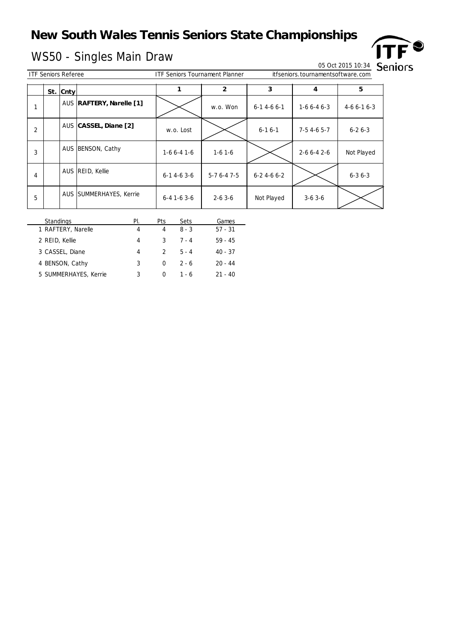# WS50 - Singles Main Draw 05 Oct 2015 10:34<br>
WS50 - Singles Main Draw 05 Oct 2015 10:34

 $\overline{a}$ 



9

ITF Seniors Referee ITF Seniors Tournament Planner itfseniors.tournamentsoftware.com

| <u>TIF SEHIUIS REIEIEE</u> |  |           |                          | <u>TIF SENIOLS TOULHAN IEN PIANNEL</u> |                |                   | <u>ILI SELIIOLS. LOUI HALLIELILSOI LWALE. COITI</u> |              |  |
|----------------------------|--|-----------|--------------------------|----------------------------------------|----------------|-------------------|-----------------------------------------------------|--------------|--|
|                            |  | St. Cntyl |                          |                                        | $\overline{2}$ | 3                 | 4                                                   | 5            |  |
| 1                          |  |           | AUS RAFTERY, Narelle [1] |                                        | w.o. Won       | $6-14-66-1$       | $1-66-46-3$                                         | $4-66-16-3$  |  |
| $\overline{2}$             |  |           | AUS CASSEL, Diane [2]    | w.o. Lost                              |                | $6 - 16 - 1$      | $7-54-65-7$                                         | $6 - 26 - 3$ |  |
| 3                          |  |           | AUS BENSON, Cathy        | $1-66-41-6$                            | $1-6$ 1 $-6$   |                   | $2 - 66 - 42 - 6$                                   | Not Played   |  |
| 4                          |  |           | AUS REID, Kellie         | $6-14-63-6$                            | $5-76-47-5$    | $6 - 24 - 66 - 2$ |                                                     | $6 - 36 - 3$ |  |
| 5                          |  |           | AUS SUMMERHAYES, Kerrie  | $6 - 4$ 1 - 6 3 - 6                    | $2 - 63 - 6$   | Not Played        | $3-63-6$                                            |              |  |

| <b>Standings</b>      | PI. | Pts           | Sets    | Games     |
|-----------------------|-----|---------------|---------|-----------|
| 1 RAFTERY, Narelle    | 4   | 4             | $8 - 3$ | $57 - 31$ |
| 2 REID, Kellie        | 4   | 3             | $7 - 4$ | $59 - 45$ |
| 3 CASSEL, Diane       | 4   | $\mathcal{P}$ | $5 - 4$ | $40 - 37$ |
| 4 BENSON, Cathy       | 3   | <sup>0</sup>  | $2 - 6$ | $20 - 44$ |
| 5 SUMMERHAYES, Kerrie | 3   | $\Omega$      | 1 - 6   | $21 - 40$ |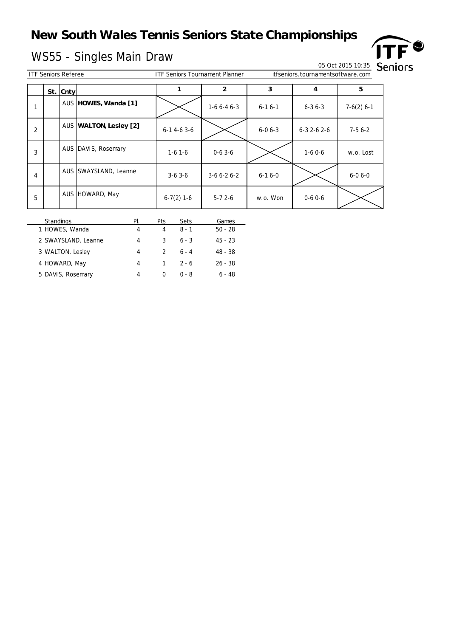## WS55 - Singles Main Draw 05 Oct 2015 10:35 Seniors

|   | <b>ITF Seniors Referee</b> |             |                        | <b>ITF Seniors Tournament Planner</b> |              | itfseniors.tournamentsoftware.com |                   |              |  |
|---|----------------------------|-------------|------------------------|---------------------------------------|--------------|-----------------------------------|-------------------|--------------|--|
|   | St.                        | <b>Cnty</b> |                        |                                       | 2            | 3                                 | 4                 | 5            |  |
|   |                            |             | AUS HOWES, Wanda [1]   |                                       | $1-66-46-3$  | $6 - 16 - 1$                      | $6 - 36 - 3$      | $7-6(2)$ 6-1 |  |
| 2 |                            |             | AUS WALTON, Lesley [2] | $6-14-63-6$                           |              | $6 - 06 - 3$                      | $6 - 32 - 62 - 6$ | $7-56-2$     |  |
| 3 |                            |             | AUS DAVIS, Rosemary    | $1-6$ 1-6                             | $0-63-6$     |                                   | $1-60-6$          | w.o. Lost    |  |
| 4 |                            |             | AUS SWAYSLAND, Leanne  | $3-63-6$                              | $3-66-26-2$  | $6 - 16 - 0$                      |                   | $6 - 06 - 0$ |  |
| 5 |                            |             | AUS HOWARD, May        | $6-7(2)$ 1-6                          | $5 - 72 - 6$ | w.o. Won                          | $0 - 60 - 6$      |              |  |

| <b>Standings</b>    | PI. | Pts           | <b>Sets</b> | Games     |
|---------------------|-----|---------------|-------------|-----------|
| 1 HOWES, Wanda      | 4   | 4             | $8 - 1$     | $50 - 28$ |
| 2 SWAYSLAND, Leanne | 4   | 3             | $6 - 3$     | $45 - 23$ |
| 3 WALTON, Lesley    | 4   | $\mathcal{L}$ | $6 - 4$     | 48 - 38   |
| 4 HOWARD, May       | 4   |               | $2 - 6$     | $26 - 38$ |
| 5 DAVIS, Rosemary   | 4   |               | በ - ጸ       | $6 - 48$  |

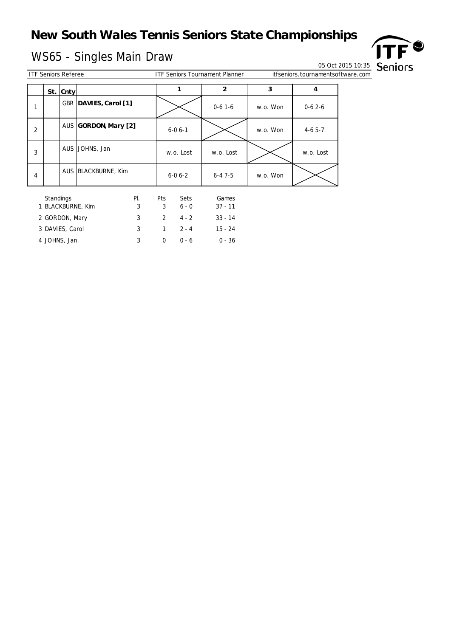## WS65 - Singles Main Draw Decree Contract Contract On All Decree On All Decree On All Decree On All Of Oct 2015 10:35



Informament software.com

| <b>ITF Seniors Referee</b><br><b>ITF Seniors Tournament Planner</b> |    |     |      |  | ittseniors. | . tourna |  |  |  |  |
|---------------------------------------------------------------------|----|-----|------|--|-------------|----------|--|--|--|--|
|                                                                     | e. |     |      |  |             |          |  |  |  |  |
|                                                                     |    | эı. | vo u |  |             |          |  |  |  |  |

|                | --- ---- , |                       |              |              |          |           |
|----------------|------------|-----------------------|--------------|--------------|----------|-----------|
|                |            | GBR DAVIES, Carol [1] |              | $0-6$ 1 $-6$ | w.o. Won | $0-62-6$  |
| $\overline{2}$ |            | AUS GORDON, Mary [2]  | $6 - 06 - 1$ |              | w.o. Won | $4-65-7$  |
| 3              |            | AUS JOHNS, Jan        | w.o. Lost    | w.o. Lost    |          | w.o. Lost |
| $\overline{4}$ |            | AUS BLACKBURNE, Kim   | $6 - 06 - 2$ | $6 - 47 - 5$ | w.o. Won |           |

| <b>Standings</b>  | PI. | Pts           | <b>Sets</b>  | Games     |
|-------------------|-----|---------------|--------------|-----------|
| 1 BLACKBURNE, Kim | ર   | 3             | $6 - 0$      | $37 - 11$ |
| 2 GORDON, Mary    | 3   | $\mathcal{L}$ | $4 - 2$      | $33 - 14$ |
| 3 DAVIES, Carol   | ર   |               | $1 \t 2 - 4$ | $15 - 24$ |
| 4 JOHNS, Jan      | ર   |               | በ - 6        | $0 - 36$  |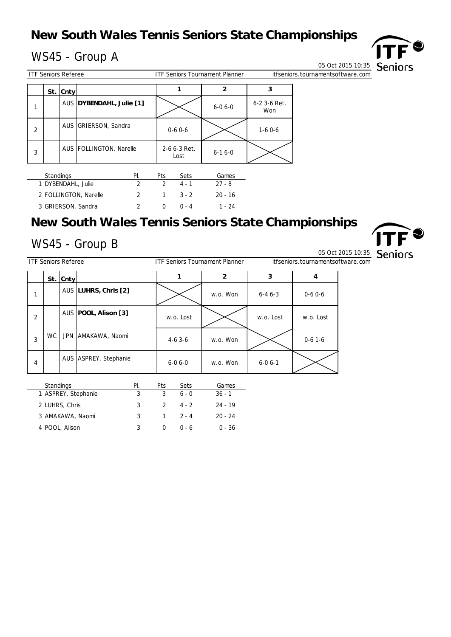## $WS45 - Group A$  DDT

|                | <b>ITF Seniors Referee</b> |              | <b>ITF Seniors Tournament Planner</b> |                      | itfseniors.tournamentsoftware.com |                     |  |
|----------------|----------------------------|--------------|---------------------------------------|----------------------|-----------------------------------|---------------------|--|
|                |                            | $St.  $ Cnty |                                       |                      |                                   |                     |  |
|                |                            |              | AUS DYBENDAHL, Julie [1]              |                      | $6 - 06 - 0$                      | 6-2 3-6 Ret.<br>Won |  |
| $\overline{2}$ |                            |              | AUS GRIERSON, Sandra                  | $0 - 60 - 6$         |                                   | $1-60-6$            |  |
| 3              |                            |              | AUS FOLLINGTON, Narelle               | 2-6 6-3 Ret.<br>Lost | $6 - 16 - 0$                      |                     |  |
|                |                            |              |                                       |                      |                                   |                     |  |

| <b>Standings</b>      | ΡI | Pts | <b>Sets</b> | Games     |
|-----------------------|----|-----|-------------|-----------|
| 1 DYBENDAHL, Julie    |    |     | 4.1         | $27 - 8$  |
| 2 FOLLINGTON, Narelle |    |     | $3 - 2$     | $20 - 16$ |
| 3 GRIERSON, Sandra    |    |     | $(1 - 4)$   | 1 - 24    |

## **New South Wales Tennis Seniors State Championships**

# $WS45 - Group B$   $\Box$



ITF Seniors Referee ITF Seniors Tournament Planner itfseniors.tournamentsoftware.com

|   |           | $St.  $ Cnty |                        |              | $\overline{2}$ | 3            | 4            |
|---|-----------|--------------|------------------------|--------------|----------------|--------------|--------------|
| 1 |           |              | AUS LUHRS, Chris [2]   |              | w.o. Won       | $6 - 46 - 3$ | $0-6$ $0-6$  |
| 2 |           |              | AUS   POOL, Alison [3] | w.o. Lost    |                | w.o. Lost    | w.o. Lost    |
| 3 | <b>WC</b> |              | JPN AMAKAWA, Naomi     | $4-6$ 3 $-6$ | w.o. Won       |              | $0-6$ 1 $-6$ |
| 4 |           |              | AUS ASPREY, Stephanie  | $6 - 06 - 0$ | w.o. Won       | $6 - 06 - 1$ |              |

| <b>Standings</b>    | PI. | Pts           | Sets    | Games     |
|---------------------|-----|---------------|---------|-----------|
| 1 ASPREY, Stephanie |     | 3             | $6 - 0$ | $36 - 1$  |
| 2 LUHRS, Chris      |     | $\mathcal{P}$ | 4.2     | $24 - 19$ |
| 3 AMAKAWA, Naomi    | 3   |               | $2 - 4$ | $20 - 24$ |
| 4 POOL, Alison      |     |               | $0 - 6$ | $0 - 36$  |